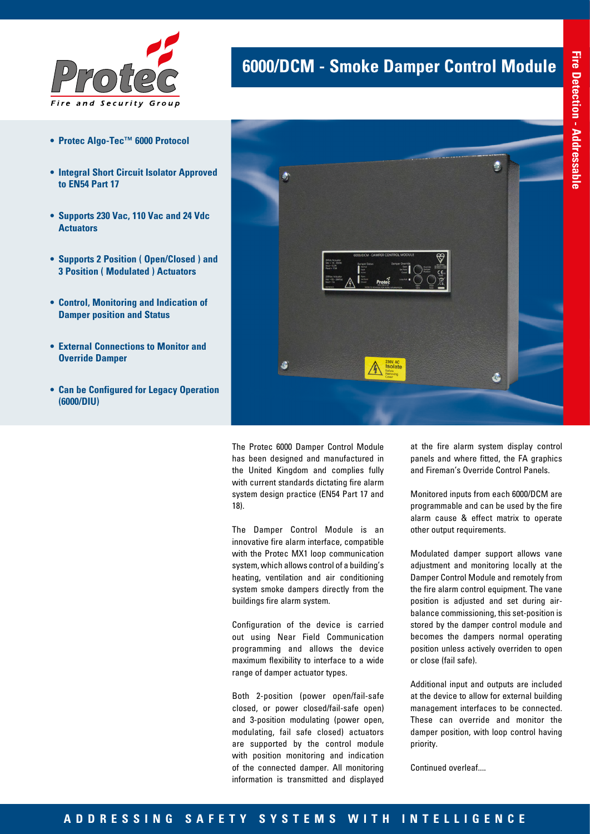

- **• Protec Algo-Tec™ 6000 Protocol**
- **• Integral Short Circuit Isolator Approved to EN54 Part 17**
- **• Supports 230 Vac, 110 Vac and 24 Vdc Actuators**
- **• Supports 2 Position ( Open/Closed ) and 3 Position ( Modulated ) Actuators**
- **• Control, Monitoring and Indication of Damper position and Status**
- **• External Connections to Monitor and Override Damper**
- **• Can be Configured for Legacy Operation (6000/DIU)**



**6000/DCM - Smoke Damper Control Module**

The Protec 6000 Damper Control Module has been designed and manufactured in the United Kingdom and complies fully with current standards dictating fire alarm system design practice (EN54 Part 17 and 18).

The Damper Control Module is an innovative fire alarm interface, compatible with the Protec MX1 loop communication system, which allows control of a building's heating, ventilation and air conditioning system smoke dampers directly from the buildings fire alarm system.

Configuration of the device is carried out using Near Field Communication programming and allows the device maximum flexibility to interface to a wide range of damper actuator types.

Both 2-position (power open/fail-safe closed, or power closed/fail-safe open) and 3-position modulating (power open, modulating, fail safe closed) actuators are supported by the control module with position monitoring and indication of the connected damper. All monitoring information is transmitted and displayed

at the fire alarm system display control panels and where fitted, the FA graphics and Fireman's Override Control Panels.

 $\ddot{\bullet}$ 

Monitored inputs from each 6000/DCM are programmable and can be used by the fire alarm cause & effect matrix to operate other output requirements.

Modulated damper support allows vane adjustment and monitoring locally at the Damper Control Module and remotely from the fire alarm control equipment. The vane position is adjusted and set during airbalance commissioning, this set-position is stored by the damper control module and becomes the dampers normal operating position unless actively overriden to open or close (fail safe).

Additional input and outputs are included at the device to allow for external building management interfaces to be connected. These can override and monitor the damper position, with loop control having priority.

Continued overleaf....